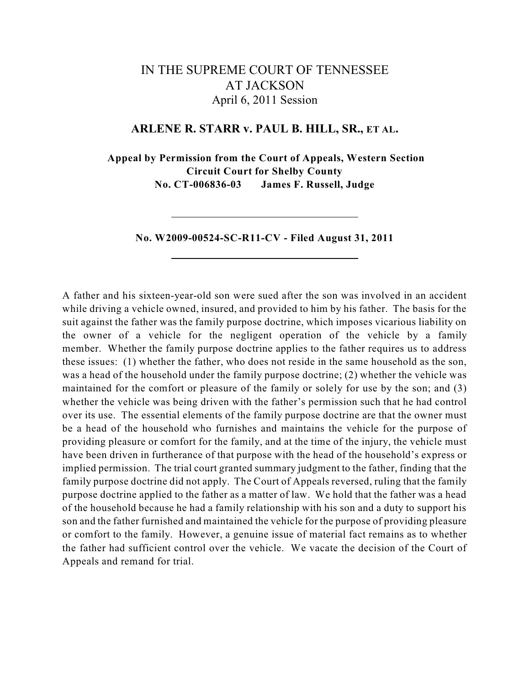# IN THE SUPREME COURT OF TENNESSEE AT JACKSON April 6, 2011 Session

## **ARLENE R. STARR v. PAUL B. HILL, SR., ET AL.**

**Appeal by Permission from the Court of Appeals, Western Section Circuit Court for Shelby County No. CT-006836-03 James F. Russell, Judge**

**No. W2009-00524-SC-R11-CV - Filed August 31, 2011**

A father and his sixteen-year-old son were sued after the son was involved in an accident while driving a vehicle owned, insured, and provided to him by his father. The basis for the suit against the father was the family purpose doctrine, which imposes vicarious liability on the owner of a vehicle for the negligent operation of the vehicle by a family member. Whether the family purpose doctrine applies to the father requires us to address these issues: (1) whether the father, who does not reside in the same household as the son, was a head of the household under the family purpose doctrine; (2) whether the vehicle was maintained for the comfort or pleasure of the family or solely for use by the son; and (3) whether the vehicle was being driven with the father's permission such that he had control over its use. The essential elements of the family purpose doctrine are that the owner must be a head of the household who furnishes and maintains the vehicle for the purpose of providing pleasure or comfort for the family, and at the time of the injury, the vehicle must have been driven in furtherance of that purpose with the head of the household's express or implied permission. The trial court granted summary judgment to the father, finding that the family purpose doctrine did not apply. The Court of Appeals reversed, ruling that the family purpose doctrine applied to the father as a matter of law. We hold that the father was a head of the household because he had a family relationship with his son and a duty to support his son and the father furnished and maintained the vehicle for the purpose of providing pleasure or comfort to the family. However, a genuine issue of material fact remains as to whether the father had sufficient control over the vehicle. We vacate the decision of the Court of Appeals and remand for trial.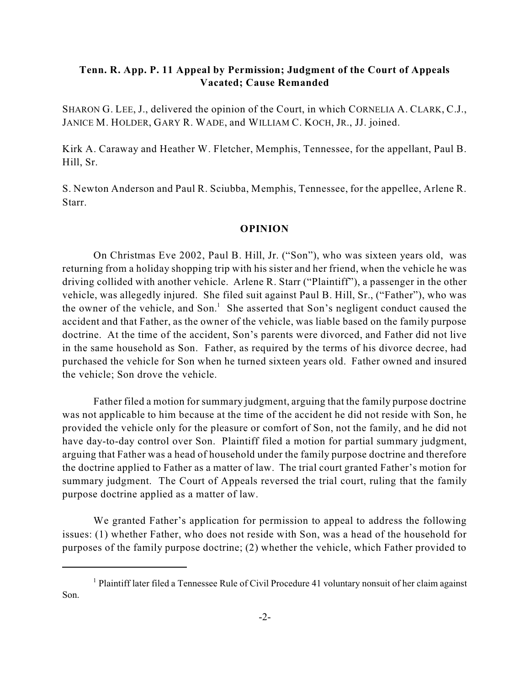# **Tenn. R. App. P. 11 Appeal by Permission; Judgment of the Court of Appeals Vacated; Cause Remanded**

SHARON G. LEE, J., delivered the opinion of the Court, in which CORNELIA A. CLARK, C.J., JANICE M. HOLDER, GARY R. WADE, and WILLIAM C. KOCH, JR., JJ. joined.

Kirk A. Caraway and Heather W. Fletcher, Memphis, Tennessee, for the appellant, Paul B. Hill, Sr.

S. Newton Anderson and Paul R. Sciubba, Memphis, Tennessee, for the appellee, Arlene R. Starr.

#### **OPINION**

On Christmas Eve 2002, Paul B. Hill, Jr. ("Son"), who was sixteen years old, was returning from a holiday shopping trip with his sister and her friend, when the vehicle he was driving collided with another vehicle. Arlene R. Starr ("Plaintiff"), a passenger in the other vehicle, was allegedly injured. She filed suit against Paul B. Hill, Sr., ("Father"), who was the owner of the vehicle, and Son.<sup>1</sup> She asserted that Son's negligent conduct caused the accident and that Father, as the owner of the vehicle, was liable based on the family purpose doctrine. At the time of the accident, Son's parents were divorced, and Father did not live in the same household as Son. Father, as required by the terms of his divorce decree, had purchased the vehicle for Son when he turned sixteen years old. Father owned and insured the vehicle; Son drove the vehicle.

Father filed a motion for summary judgment, arguing that the family purpose doctrine was not applicable to him because at the time of the accident he did not reside with Son, he provided the vehicle only for the pleasure or comfort of Son, not the family, and he did not have day-to-day control over Son. Plaintiff filed a motion for partial summary judgment, arguing that Father was a head of household under the family purpose doctrine and therefore the doctrine applied to Father as a matter of law. The trial court granted Father's motion for summary judgment. The Court of Appeals reversed the trial court, ruling that the family purpose doctrine applied as a matter of law.

We granted Father's application for permission to appeal to address the following issues: (1) whether Father, who does not reside with Son, was a head of the household for purposes of the family purpose doctrine; (2) whether the vehicle, which Father provided to

 $1$  Plaintiff later filed a Tennessee Rule of Civil Procedure 41 voluntary nonsuit of her claim against Son.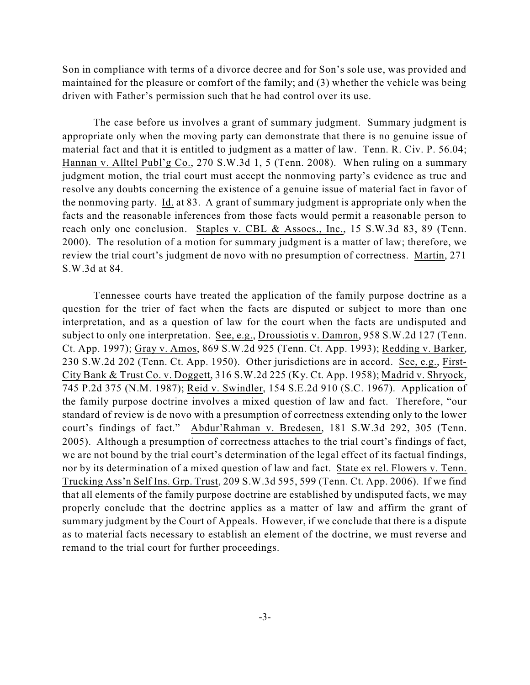Son in compliance with terms of a divorce decree and for Son's sole use, was provided and maintained for the pleasure or comfort of the family; and (3) whether the vehicle was being driven with Father's permission such that he had control over its use.

The case before us involves a grant of summary judgment. Summary judgment is appropriate only when the moving party can demonstrate that there is no genuine issue of material fact and that it is entitled to judgment as a matter of law. Tenn. R. Civ. P. 56.04; Hannan v. Alltel Publ'g Co., 270 S.W.3d 1, 5 (Tenn. 2008). When ruling on a summary judgment motion, the trial court must accept the nonmoving party's evidence as true and resolve any doubts concerning the existence of a genuine issue of material fact in favor of the nonmoving party. Id. at 83. A grant of summary judgment is appropriate only when the facts and the reasonable inferences from those facts would permit a reasonable person to reach only one conclusion. Staples v. CBL & Assocs., Inc., 15 S.W.3d 83, 89 (Tenn. 2000). The resolution of a motion for summary judgment is a matter of law; therefore, we review the trial court's judgment de novo with no presumption of correctness. Martin, 271 S.W.3d at 84.

Tennessee courts have treated the application of the family purpose doctrine as a question for the trier of fact when the facts are disputed or subject to more than one interpretation, and as a question of law for the court when the facts are undisputed and subject to only one interpretation. See, e.g., Droussiotis v. Damron, 958 S.W.2d 127 (Tenn. Ct. App. 1997); Gray v. Amos, 869 S.W.2d 925 (Tenn. Ct. App. 1993); Redding v. Barker, 230 S.W.2d 202 (Tenn. Ct. App. 1950). Other jurisdictions are in accord. See, e.g., First-City Bank & Trust Co. v. Doggett, 316 S.W.2d 225 (Ky. Ct. App. 1958); Madrid v. Shryock, 745 P.2d 375 (N.M. 1987); Reid v. Swindler, 154 S.E.2d 910 (S.C. 1967). Application of the family purpose doctrine involves a mixed question of law and fact. Therefore, "our standard of review is de novo with a presumption of correctness extending only to the lower court's findings of fact." Abdur'Rahman v. Bredesen, 181 S.W.3d 292, 305 (Tenn. 2005). Although a presumption of correctness attaches to the trial court's findings of fact, we are not bound by the trial court's determination of the legal effect of its factual findings, nor by its determination of a mixed question of law and fact. State ex rel. Flowers v. Tenn. Trucking Ass'n Self Ins. Grp. Trust, 209 S.W.3d 595, 599 (Tenn. Ct. App. 2006). If we find that all elements of the family purpose doctrine are established by undisputed facts, we may properly conclude that the doctrine applies as a matter of law and affirm the grant of summary judgment by the Court of Appeals. However, if we conclude that there is a dispute as to material facts necessary to establish an element of the doctrine, we must reverse and remand to the trial court for further proceedings.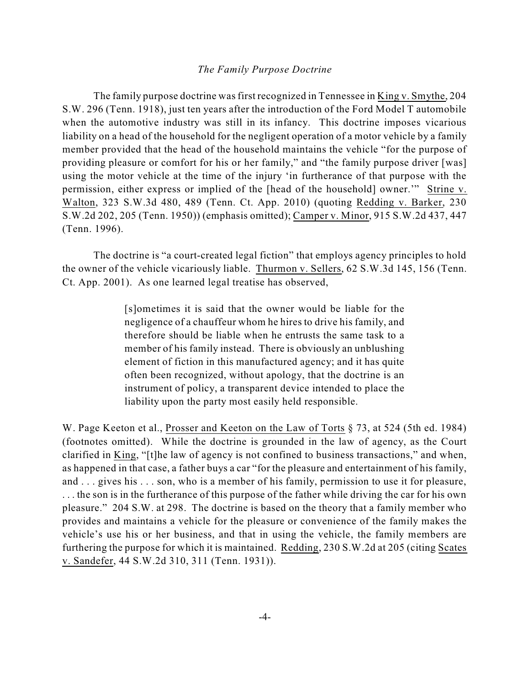#### *The Family Purpose Doctrine*

The family purpose doctrine wasfirst recognized in Tennessee in King v. Smythe, 204 S.W. 296 (Tenn. 1918), just ten years after the introduction of the Ford Model T automobile when the automotive industry was still in its infancy. This doctrine imposes vicarious liability on a head of the household for the negligent operation of a motor vehicle by a family member provided that the head of the household maintains the vehicle "for the purpose of providing pleasure or comfort for his or her family," and "the family purpose driver [was] using the motor vehicle at the time of the injury 'in furtherance of that purpose with the permission, either express or implied of the [head of the household] owner.'" Strine v. Walton, 323 S.W.3d 480, 489 (Tenn. Ct. App. 2010) (quoting Redding v. Barker, 230 S.W.2d 202, 205 (Tenn. 1950)) (emphasis omitted); Camper v. Minor, 915 S.W.2d 437, 447 (Tenn. 1996).

The doctrine is "a court-created legal fiction" that employs agency principles to hold the owner of the vehicle vicariously liable. Thurmon v. Sellers, 62 S.W.3d 145, 156 (Tenn. Ct. App. 2001). As one learned legal treatise has observed,

> [s]ometimes it is said that the owner would be liable for the negligence of a chauffeur whom he hires to drive his family, and therefore should be liable when he entrusts the same task to a member of his family instead. There is obviously an unblushing element of fiction in this manufactured agency; and it has quite often been recognized, without apology, that the doctrine is an instrument of policy, a transparent device intended to place the liability upon the party most easily held responsible.

W. Page Keeton et al., Prosser and Keeton on the Law of Torts § 73, at 524 (5th ed. 1984) (footnotes omitted). While the doctrine is grounded in the law of agency, as the Court clarified in King, "[t]he law of agency is not confined to business transactions," and when, as happened in that case, a father buys a car "for the pleasure and entertainment of his family, and . . . gives his . . . son, who is a member of his family, permission to use it for pleasure, . . . the son is in the furtherance of this purpose of the father while driving the car for his own pleasure." 204 S.W. at 298. The doctrine is based on the theory that a family member who provides and maintains a vehicle for the pleasure or convenience of the family makes the vehicle's use his or her business, and that in using the vehicle, the family members are furthering the purpose for which it is maintained. Redding, 230 S.W.2d at 205 (citing Scates v. Sandefer, 44 S.W.2d 310, 311 (Tenn. 1931)).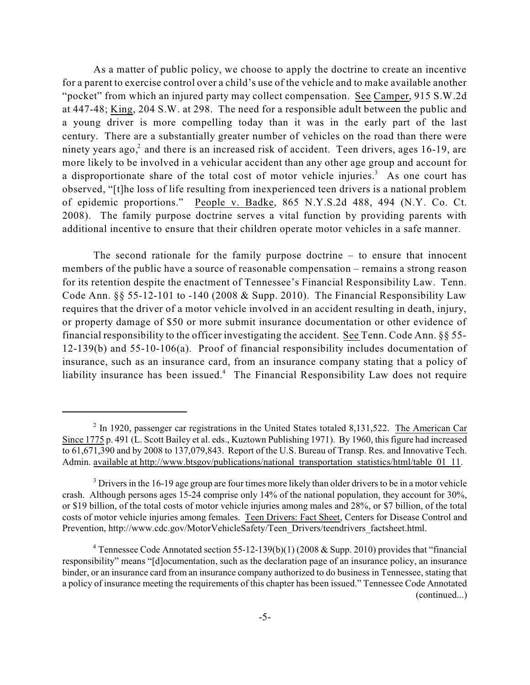As a matter of public policy, we choose to apply the doctrine to create an incentive for a parent to exercise control over a child's use of the vehicle and to make available another "pocket" from which an injured party may collect compensation. See Camper, 915 S.W.2d at 447-48; King, 204 S.W. at 298. The need for a responsible adult between the public and a young driver is more compelling today than it was in the early part of the last century. There are a substantially greater number of vehicles on the road than there were ninety years ago,<sup>2</sup> and there is an increased risk of accident. Teen drivers, ages 16-19, are more likely to be involved in a vehicular accident than any other age group and account for a disproportionate share of the total cost of motor vehicle injuries.<sup>3</sup> As one court has observed, "[t]he loss of life resulting from inexperienced teen drivers is a national problem of epidemic proportions." People v. Badke, 865 N.Y.S.2d 488, 494 (N.Y. Co. Ct. 2008). The family purpose doctrine serves a vital function by providing parents with additional incentive to ensure that their children operate motor vehicles in a safe manner.

The second rationale for the family purpose doctrine – to ensure that innocent members of the public have a source of reasonable compensation – remains a strong reason for its retention despite the enactment of Tennessee's Financial Responsibility Law. Tenn. Code Ann.  $\S$ § 55-12-101 to -140 (2008 & Supp. 2010). The Financial Responsibility Law requires that the driver of a motor vehicle involved in an accident resulting in death, injury, or property damage of \$50 or more submit insurance documentation or other evidence of financial responsibility to the officer investigating the accident. See Tenn. Code Ann. §§ 55- 12-139(b) and 55-10-106(a). Proof of financial responsibility includes documentation of insurance, such as an insurance card, from an insurance company stating that a policy of liability insurance has been issued.<sup>4</sup> The Financial Responsibility Law does not require

 $\frac{1}{2}$  In 1920, passenger car registrations in the United States totaled 8,131,522. The American Car Since 1775 p. 491 (L. Scott Bailey et al. eds., Kuztown Publishing 1971). By 1960, this figure had increased to 61,671,390 and by 2008 to 137,079,843. Report of the U.S. Bureau of Transp. Res. and Innovative Tech. Admin. available at http://www.btsgov/publications/national\_transportation\_statistics/html/table\_01\_11.

 $3$  Drivers in the 16-19 age group are four times more likely than older drivers to be in a motor vehicle crash. Although persons ages 15-24 comprise only 14% of the national population, they account for 30%, or \$19 billion, of the total costs of motor vehicle injuries among males and 28%, or \$7 billion, of the total costs of motor vehicle injuries among females. Teen Drivers: Fact Sheet, Centers for Disease Control and Prevention, http://www.cdc.gov/MotorVehicleSafety/Teen\_Drivers/teendrivers\_factsheet.html.

<sup>&</sup>lt;sup>4</sup> Tennessee Code Annotated section 55-12-139(b)(1) (2008 & Supp. 2010) provides that "financial responsibility" means "[d]ocumentation, such as the declaration page of an insurance policy, an insurance binder, or an insurance card from an insurance company authorized to do business in Tennessee, stating that a policy of insurance meeting the requirements of this chapter has been issued." Tennessee Code Annotated (continued...)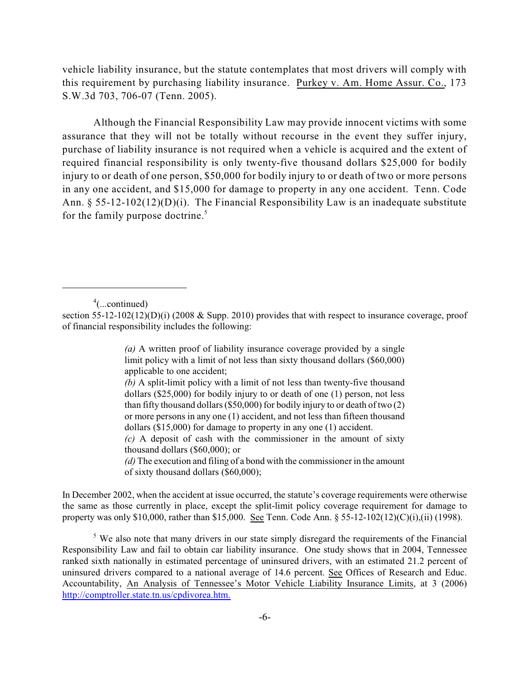vehicle liability insurance, but the statute contemplates that most drivers will comply with this requirement by purchasing liability insurance. Purkey v. Am. Home Assur. Co., 173 S.W.3d 703, 706-07 (Tenn. 2005).

Although the Financial Responsibility Law may provide innocent victims with some assurance that they will not be totally without recourse in the event they suffer injury, purchase of liability insurance is not required when a vehicle is acquired and the extent of required financial responsibility is only twenty-five thousand dollars \$25,000 for bodily injury to or death of one person, \$50,000 for bodily injury to or death of two or more persons in any one accident, and \$15,000 for damage to property in any one accident. Tenn. Code Ann. § 55-12-102(12)(D)(i). The Financial Responsibility Law is an inadequate substitute for the family purpose doctrine.<sup>5</sup>

 $\alpha$ <sup>4</sup>(...continued)

*(b)* A split-limit policy with a limit of not less than twenty-five thousand dollars (\$25,000) for bodily injury to or death of one (1) person, not less than fifty thousand dollars(\$50,000) for bodily injury to or death of two (2) or more persons in any one (1) accident, and not less than fifteen thousand dollars (\$15,000) for damage to property in any one (1) accident.

*(c)* A deposit of cash with the commissioner in the amount of sixty thousand dollars (\$60,000); or

*(d)* The execution and filing of a bond with the commissioner in the amount of sixty thousand dollars (\$60,000);

In December 2002, when the accident at issue occurred, the statute's coverage requirements were otherwise the same as those currently in place, except the split-limit policy coverage requirement for damage to property was only \$10,000, rather than \$15,000. See Tenn. Code Ann. § 55-12-102(12)(C)(i),(ii) (1998).

 $5$  We also note that many drivers in our state simply disregard the requirements of the Financial Responsibility Law and fail to obtain car liability insurance. One study shows that in 2004, Tennessee ranked sixth nationally in estimated percentage of uninsured drivers, with an estimated 21.2 percent of uninsured drivers compared to a national average of 14.6 percent. See Offices of Research and Educ. Accountability, An Analysis of Tennessee's Motor Vehicle Liability Insurance Limits, at 3 (2006) <http://comptroller.state.tn.us/cpdivorea.htm.>

section 55-12-102(12)(D)(i) (2008 & Supp. 2010) provides that with respect to insurance coverage, proof of financial responsibility includes the following:

*<sup>(</sup>a)* A written proof of liability insurance coverage provided by a single limit policy with a limit of not less than sixty thousand dollars (\$60,000) applicable to one accident;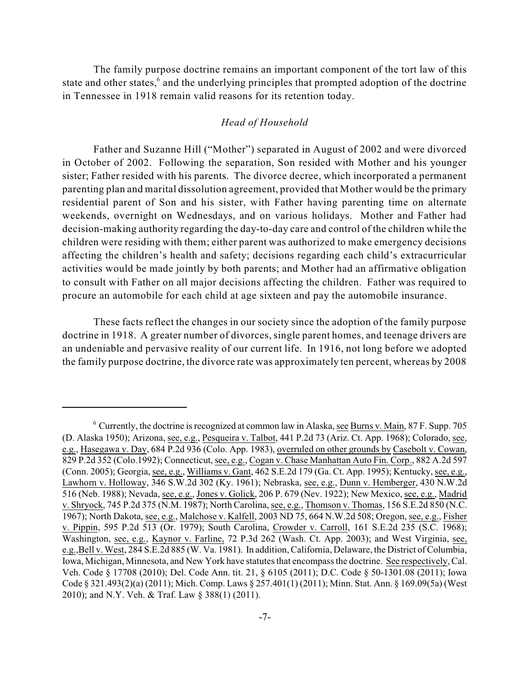The family purpose doctrine remains an important component of the tort law of this state and other states, $6$  and the underlying principles that prompted adoption of the doctrine in Tennessee in 1918 remain valid reasons for its retention today.

#### *Head of Household*

Father and Suzanne Hill ("Mother") separated in August of 2002 and were divorced in October of 2002. Following the separation, Son resided with Mother and his younger sister; Father resided with his parents. The divorce decree, which incorporated a permanent parenting plan and marital dissolution agreement, provided that Mother would be the primary residential parent of Son and his sister, with Father having parenting time on alternate weekends, overnight on Wednesdays, and on various holidays. Mother and Father had decision-making authority regarding the day-to-day care and control of the children while the children were residing with them; either parent was authorized to make emergency decisions affecting the children's health and safety; decisions regarding each child's extracurricular activities would be made jointly by both parents; and Mother had an affirmative obligation to consult with Father on all major decisions affecting the children. Father was required to procure an automobile for each child at age sixteen and pay the automobile insurance.

These facts reflect the changes in our society since the adoption of the family purpose doctrine in 1918. A greater number of divorces, single parent homes, and teenage drivers are an undeniable and pervasive reality of our current life. In 1916, not long before we adopted the family purpose doctrine, the divorce rate was approximately ten percent, whereas by 2008

 $6$  Currently, the doctrine is recognized at common law in Alaska, see Burns v. Main, 87 F. Supp. 705 (D. Alaska 1950); Arizona, see, e.g., Pesqueira v. Talbot, 441 P.2d 73 (Ariz. Ct. App. 1968); Colorado, see, e.g., Hasegawa v. Day, 684 P.2d 936 (Colo. App. 1983), overruled on other grounds by Casebolt v. Cowan, 829 P.2d 352 (Colo.1992); Connecticut, see, e.g., Cogan v. Chase Manhattan Auto Fin. Corp., 882 A.2d 597 (Conn. 2005); Georgia, see, e.g., Williams v. Gant, 462 S.E.2d 179 (Ga. Ct. App. 1995); Kentucky, see, e.g., Lawhorn v. Holloway, 346 S.W.2d 302 (Ky. 1961); Nebraska, see, e.g., Dunn v. Hemberger, 430 N.W.2d 516 (Neb. 1988); Nevada, see, e.g., Jones v. Golick, 206 P. 679 (Nev. 1922); New Mexico, see, e.g., Madrid v. Shryock, 745 P.2d 375 (N.M. 1987); North Carolina, see, e.g., Thomson v. Thomas, 156 S.E.2d 850 (N.C. 1967); North Dakota, see, e.g., Malchose v. Kalfell, 2003 ND 75, 664 N.W.2d 508; Oregon, see, e.g., Fisher v. Pippin, 595 P.2d 513 (Or. 1979); South Carolina, Crowder v. Carroll, 161 S.E.2d 235 (S.C. 1968); Washington, see, e.g., Kaynor v. Farline, 72 P.3d 262 (Wash. Ct. App. 2003); and West Virginia, see, e.g.,Bell v. West, 284 S.E.2d 885 (W. Va. 1981). In addition, California, Delaware, the District of Columbia, Iowa, Michigan, Minnesota, and New York have statutes that encompass the doctrine. See respectively, Cal. Veh. Code § 17708 (2010); Del. Code Ann. tit. 21, § 6105 (2011); D.C. Code § 50-1301.08 (2011); Iowa Code § 321.493(2)(a) (2011); Mich. Comp. Laws § 257.401(1) (2011); Minn. Stat. Ann. § 169.09(5a) (West 2010); and N.Y. Veh. & Traf. Law § 388(1) (2011).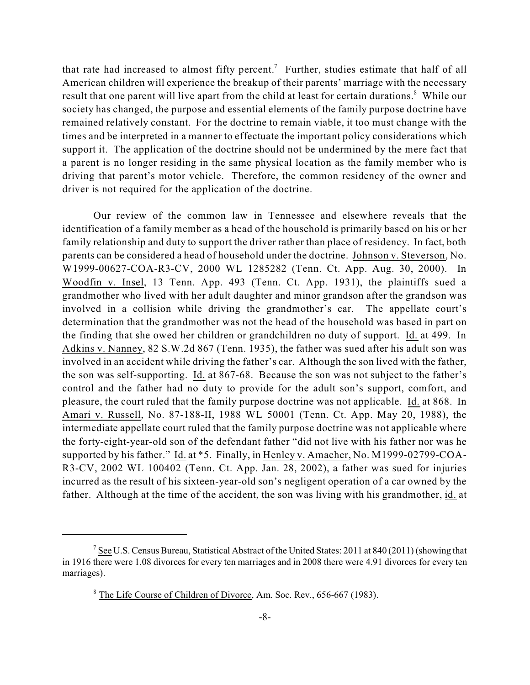that rate had increased to almost fifty percent.<sup>7</sup> Further, studies estimate that half of all American children will experience the breakup of their parents' marriage with the necessary result that one parent will live apart from the child at least for certain durations.<sup>8</sup> While our society has changed, the purpose and essential elements of the family purpose doctrine have remained relatively constant. For the doctrine to remain viable, it too must change with the times and be interpreted in a manner to effectuate the important policy considerations which support it. The application of the doctrine should not be undermined by the mere fact that a parent is no longer residing in the same physical location as the family member who is driving that parent's motor vehicle. Therefore, the common residency of the owner and driver is not required for the application of the doctrine.

Our review of the common law in Tennessee and elsewhere reveals that the identification of a family member as a head of the household is primarily based on his or her family relationship and duty to support the driver rather than place of residency. In fact, both parents can be considered a head of household under the doctrine. Johnson v. Steverson, No. W1999-00627-COA-R3-CV, 2000 WL 1285282 (Tenn. Ct. App. Aug. 30, 2000). In Woodfin v. Insel, 13 Tenn. App. 493 (Tenn. Ct. App. 1931), the plaintiffs sued a grandmother who lived with her adult daughter and minor grandson after the grandson was involved in a collision while driving the grandmother's car. The appellate court's determination that the grandmother was not the head of the household was based in part on the finding that she owed her children or grandchildren no duty of support. Id. at 499. In Adkins v. Nanney, 82 S.W.2d 867 (Tenn. 1935), the father was sued after his adult son was involved in an accident while driving the father's car. Although the son lived with the father, the son was self-supporting. Id. at 867-68. Because the son was not subject to the father's control and the father had no duty to provide for the adult son's support, comfort, and pleasure, the court ruled that the family purpose doctrine was not applicable. Id. at 868. In Amari v. Russell, No. 87-188-II, 1988 WL 50001 (Tenn. Ct. App. May 20, 1988), the intermediate appellate court ruled that the family purpose doctrine was not applicable where the forty-eight-year-old son of the defendant father "did not live with his father nor was he supported by his father." Id. at \*5. Finally, in Henley v. Amacher, No. M1999-02799-COA-R3-CV, 2002 WL 100402 (Tenn. Ct. App. Jan. 28, 2002), a father was sued for injuries incurred as the result of his sixteen-year-old son's negligent operation of a car owned by the father. Although at the time of the accident, the son was living with his grandmother, id. at

 $^7$  See U.S. Census Bureau, Statistical Abstract of the United States: 2011 at 840 (2011) (showing that in 1916 there were 1.08 divorces for every ten marriages and in 2008 there were 4.91 divorces for every ten marriages).

<sup>&</sup>lt;sup>8</sup> The Life Course of Children of Divorce, Am. Soc. Rev., 656-667 (1983).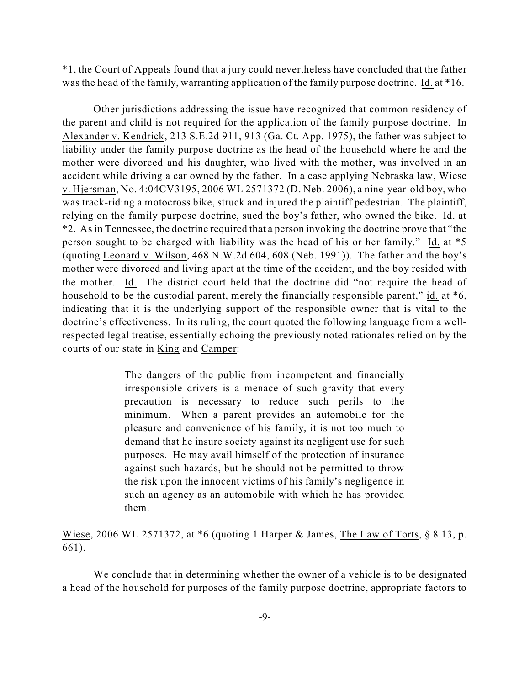\*1, the Court of Appeals found that a jury could nevertheless have concluded that the father was the head of the family, warranting application of the family purpose doctrine. Id. at \*16.

Other jurisdictions addressing the issue have recognized that common residency of the parent and child is not required for the application of the family purpose doctrine. In Alexander v. Kendrick, 213 S.E.2d 911, 913 (Ga. Ct. App. 1975), the father was subject to liability under the family purpose doctrine as the head of the household where he and the mother were divorced and his daughter, who lived with the mother, was involved in an accident while driving a car owned by the father. In a case applying Nebraska law, Wiese v. Hjersman, No. 4:04CV3195, 2006 WL 2571372 (D. Neb. 2006), a nine-year-old boy, who was track-riding a motocross bike, struck and injured the plaintiff pedestrian. The plaintiff, relying on the family purpose doctrine, sued the boy's father, who owned the bike. Id. at \*2. As in Tennessee, the doctrine required that a person invoking the doctrine prove that "the person sought to be charged with liability was the head of his or her family." Id. at \*5 (quoting Leonard v. Wilson, 468 N.W.2d 604, 608 (Neb. 1991)). The father and the boy's mother were divorced and living apart at the time of the accident, and the boy resided with the mother. Id. The district court held that the doctrine did "not require the head of household to be the custodial parent, merely the financially responsible parent," id. at  $*6$ , indicating that it is the underlying support of the responsible owner that is vital to the doctrine's effectiveness. In its ruling, the court quoted the following language from a wellrespected legal treatise, essentially echoing the previously noted rationales relied on by the courts of our state in King and Camper:

> The dangers of the public from incompetent and financially irresponsible drivers is a menace of such gravity that every precaution is necessary to reduce such perils to the minimum. When a parent provides an automobile for the pleasure and convenience of his family, it is not too much to demand that he insure society against its negligent use for such purposes. He may avail himself of the protection of insurance against such hazards, but he should not be permitted to throw the risk upon the innocent victims of his family's negligence in such an agency as an automobile with which he has provided them.

Wiese, 2006 WL 2571372, at \*6 (quoting 1 Harper & James, The Law of Torts, § 8.13, p. 661).

We conclude that in determining whether the owner of a vehicle is to be designated a head of the household for purposes of the family purpose doctrine, appropriate factors to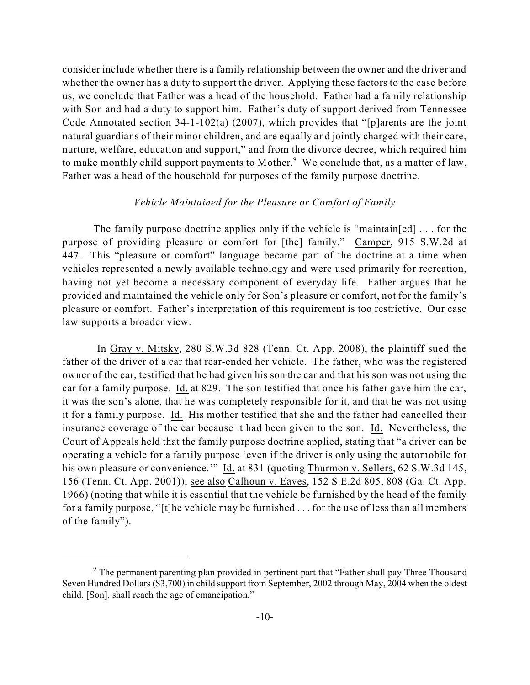consider include whether there is a family relationship between the owner and the driver and whether the owner has a duty to support the driver. Applying these factors to the case before us, we conclude that Father was a head of the household. Father had a family relationship with Son and had a duty to support him. Father's duty of support derived from Tennessee Code Annotated section 34-1-102(a) (2007), which provides that "[p]arents are the joint natural guardians of their minor children, and are equally and jointly charged with their care, nurture, welfare, education and support," and from the divorce decree, which required him to make monthly child support payments to Mother.<sup>9</sup> We conclude that, as a matter of law, Father was a head of the household for purposes of the family purpose doctrine.

#### *Vehicle Maintained for the Pleasure or Comfort of Family*

The family purpose doctrine applies only if the vehicle is "maintain[ed] . . . for the purpose of providing pleasure or comfort for [the] family." Camper, 915 S.W.2d at 447. This "pleasure or comfort" language became part of the doctrine at a time when vehicles represented a newly available technology and were used primarily for recreation, having not yet become a necessary component of everyday life. Father argues that he provided and maintained the vehicle only for Son's pleasure or comfort, not for the family's pleasure or comfort. Father's interpretation of this requirement is too restrictive. Our case law supports a broader view.

In Gray v. Mitsky, 280 S.W.3d 828 (Tenn. Ct. App. 2008), the plaintiff sued the father of the driver of a car that rear-ended her vehicle. The father, who was the registered owner of the car, testified that he had given his son the car and that his son was not using the car for a family purpose. Id. at 829. The son testified that once his father gave him the car, it was the son's alone, that he was completely responsible for it, and that he was not using it for a family purpose. Id. His mother testified that she and the father had cancelled their insurance coverage of the car because it had been given to the son. Id. Nevertheless, the Court of Appeals held that the family purpose doctrine applied, stating that "a driver can be operating a vehicle for a family purpose 'even if the driver is only using the automobile for his own pleasure or convenience." Id. at 831 (quoting Thurmon v. Sellers, 62 S.W.3d 145, 156 (Tenn. Ct. App. 2001)); see also Calhoun v. Eaves, 152 S.E.2d 805, 808 (Ga. Ct. App. 1966) (noting that while it is essential that the vehicle be furnished by the head of the family for a family purpose, "[t]he vehicle may be furnished . . . for the use of less than all members of the family").

 $\degree$  The permanent parenting plan provided in pertinent part that "Father shall pay Three Thousand Seven Hundred Dollars (\$3,700) in child support from September, 2002 through May, 2004 when the oldest child, [Son], shall reach the age of emancipation."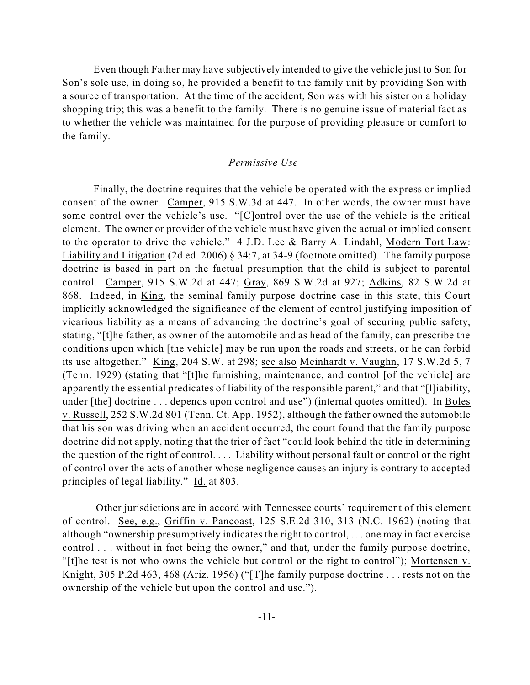Even though Father may have subjectively intended to give the vehicle just to Son for Son's sole use, in doing so, he provided a benefit to the family unit by providing Son with a source of transportation. At the time of the accident, Son was with his sister on a holiday shopping trip; this was a benefit to the family. There is no genuine issue of material fact as to whether the vehicle was maintained for the purpose of providing pleasure or comfort to the family.

#### *Permissive Use*

Finally, the doctrine requires that the vehicle be operated with the express or implied consent of the owner. Camper, 915 S.W.3d at 447. In other words, the owner must have some control over the vehicle's use. "[C]ontrol over the use of the vehicle is the critical element. The owner or provider of the vehicle must have given the actual or implied consent to the operator to drive the vehicle." 4 J.D. Lee & Barry A. Lindahl, Modern Tort Law: Liability and Litigation (2d ed. 2006) § 34:7, at 34-9 (footnote omitted). The family purpose doctrine is based in part on the factual presumption that the child is subject to parental control. Camper, 915 S.W.2d at 447; Gray, 869 S.W.2d at 927; Adkins, 82 S.W.2d at 868. Indeed, in King, the seminal family purpose doctrine case in this state, this Court implicitly acknowledged the significance of the element of control justifying imposition of vicarious liability as a means of advancing the doctrine's goal of securing public safety, stating, "[t]he father, as owner of the automobile and as head of the family, can prescribe the conditions upon which [the vehicle] may be run upon the roads and streets, or he can forbid its use altogether." King, 204 S.W. at 298; see also Meinhardt v. Vaughn, 17 S.W.2d 5, 7 (Tenn. 1929) (stating that "[t]he furnishing, maintenance, and control [of the vehicle] are apparently the essential predicates of liability of the responsible parent," and that "[l]iability, under [the] doctrine . . . depends upon control and use") (internal quotes omitted). In Boles v. Russell, 252 S.W.2d 801 (Tenn. Ct. App. 1952), although the father owned the automobile that his son was driving when an accident occurred, the court found that the family purpose doctrine did not apply, noting that the trier of fact "could look behind the title in determining the question of the right of control. . . . Liability without personal fault or control or the right of control over the acts of another whose negligence causes an injury is contrary to accepted principles of legal liability." Id. at 803.

 Other jurisdictions are in accord with Tennessee courts' requirement of this element of control. See, e.g., Griffin v. Pancoast, 125 S.E.2d 310, 313 (N.C. 1962) (noting that although "ownership presumptively indicates the right to control, . . . one may in fact exercise control . . . without in fact being the owner," and that, under the family purpose doctrine, "[t]he test is not who owns the vehicle but control or the right to control"); Mortensen v. Knight, 305 P.2d 463, 468 (Ariz. 1956) ("[T]he family purpose doctrine . . . rests not on the ownership of the vehicle but upon the control and use.").